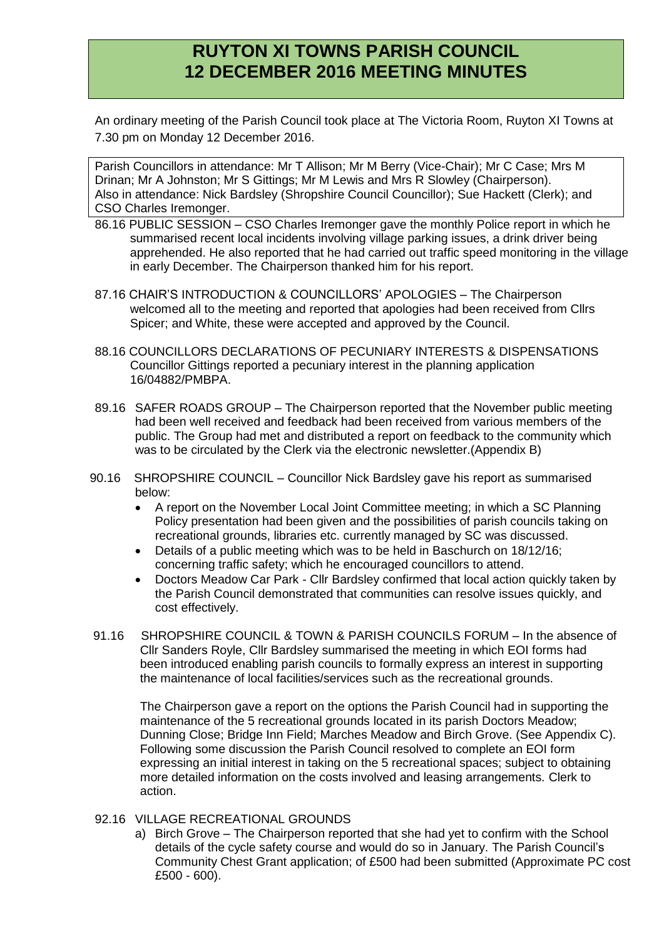# **RUYTON XI TOWNS PARISH COUNCIL 12 DECEMBER 2016 MEETING MINUTES**

An ordinary meeting of the Parish Council took place at The Victoria Room, Ruyton XI Towns at 7.30 pm on Monday 12 December 2016.

Parish Councillors in attendance: Mr T Allison; Mr M Berry (Vice-Chair); Mr C Case; Mrs M Drinan; Mr A Johnston; Mr S Gittings; Mr M Lewis and Mrs R Slowley (Chairperson). Also in attendance: Nick Bardsley (Shropshire Council Councillor); Sue Hackett (Clerk); and CSO Charles Iremonger.

- 86.16 PUBLIC SESSION CSO Charles Iremonger gave the monthly Police report in which he summarised recent local incidents involving village parking issues, a drink driver being apprehended. He also reported that he had carried out traffic speed monitoring in the village in early December. The Chairperson thanked him for his report.
- 87.16 CHAIR'S INTRODUCTION & COUNCILLORS' APOLOGIES The Chairperson welcomed all to the meeting and reported that apologies had been received from Cllrs Spicer; and White, these were accepted and approved by the Council.
- 88.16 COUNCILLORS DECLARATIONS OF PECUNIARY INTERESTS & DISPENSATIONS Councillor Gittings reported a pecuniary interest in the planning application 16/04882/PMBPA.
- 89.16 SAFER ROADS GROUP The Chairperson reported that the November public meeting had been well received and feedback had been received from various members of the public. The Group had met and distributed a report on feedback to the community which was to be circulated by the Clerk via the electronic newsletter.(Appendix B)
- 90.16 SHROPSHIRE COUNCIL Councillor Nick Bardsley gave his report as summarised below:
	- A report on the November Local Joint Committee meeting; in which a SC Planning Policy presentation had been given and the possibilities of parish councils taking on recreational grounds, libraries etc. currently managed by SC was discussed.
	- Details of a public meeting which was to be held in Baschurch on 18/12/16; concerning traffic safety; which he encouraged councillors to attend.
	- Doctors Meadow Car Park Cllr Bardsley confirmed that local action quickly taken by the Parish Council demonstrated that communities can resolve issues quickly, and cost effectively.
- 91.16 SHROPSHIRE COUNCIL & TOWN & PARISH COUNCILS FORUM In the absence of Cllr Sanders Royle, Cllr Bardsley summarised the meeting in which EOI forms had been introduced enabling parish councils to formally express an interest in supporting the maintenance of local facilities/services such as the recreational grounds.

The Chairperson gave a report on the options the Parish Council had in supporting the maintenance of the 5 recreational grounds located in its parish Doctors Meadow; Dunning Close; Bridge Inn Field; Marches Meadow and Birch Grove. (See Appendix C). Following some discussion the Parish Council resolved to complete an EOI form expressing an initial interest in taking on the 5 recreational spaces; subject to obtaining more detailed information on the costs involved and leasing arrangements. Clerk to action.

### 92.16 VILLAGE RECREATIONAL GROUNDS

a) Birch Grove – The Chairperson reported that she had yet to confirm with the School details of the cycle safety course and would do so in January. The Parish Council's Community Chest Grant application; of £500 had been submitted (Approximate PC cost £500 - 600).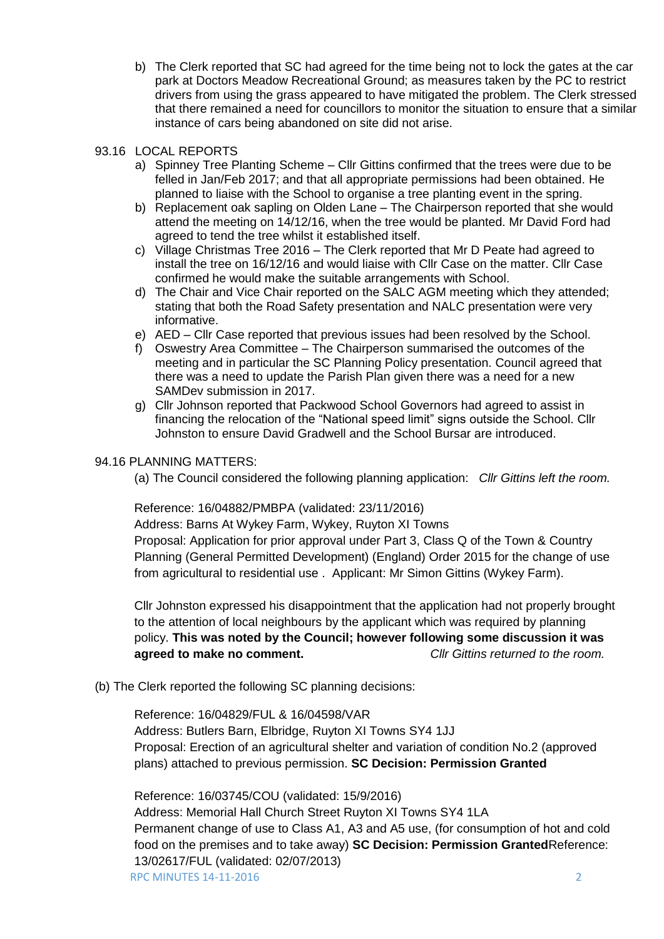b) The Clerk reported that SC had agreed for the time being not to lock the gates at the car park at Doctors Meadow Recreational Ground; as measures taken by the PC to restrict drivers from using the grass appeared to have mitigated the problem. The Clerk stressed that there remained a need for councillors to monitor the situation to ensure that a similar instance of cars being abandoned on site did not arise.

### 93.16 LOCAL REPORTS

- a) Spinney Tree Planting Scheme Cllr Gittins confirmed that the trees were due to be felled in Jan/Feb 2017; and that all appropriate permissions had been obtained. He planned to liaise with the School to organise a tree planting event in the spring.
- b) Replacement oak sapling on Olden Lane The Chairperson reported that she would attend the meeting on 14/12/16, when the tree would be planted. Mr David Ford had agreed to tend the tree whilst it established itself.
- c) Village Christmas Tree 2016 The Clerk reported that Mr D Peate had agreed to install the tree on 16/12/16 and would liaise with Cllr Case on the matter. Cllr Case confirmed he would make the suitable arrangements with School.
- d) The Chair and Vice Chair reported on the SALC AGM meeting which they attended; stating that both the Road Safety presentation and NALC presentation were very informative.
- e) AED Cllr Case reported that previous issues had been resolved by the School.
- f) Oswestry Area Committee The Chairperson summarised the outcomes of the meeting and in particular the SC Planning Policy presentation. Council agreed that there was a need to update the Parish Plan given there was a need for a new SAMDev submission in 2017.
- g) Cllr Johnson reported that Packwood School Governors had agreed to assist in financing the relocation of the "National speed limit" signs outside the School. Cllr Johnston to ensure David Gradwell and the School Bursar are introduced.

### 94.16 PLANNING MATTERS:

(a) The Council considered the following planning application: *Cllr Gittins left the room.*

## Reference: 16/04882/PMBPA (validated: 23/11/2016)

Address: Barns At Wykey Farm, Wykey, Ruyton XI Towns

Proposal: Application for prior approval under Part 3, Class Q of the Town & Country Planning (General Permitted Development) (England) Order 2015 for the change of use from agricultural to residential use . Applicant: Mr Simon Gittins (Wykey Farm).

Cllr Johnston expressed his disappointment that the application had not properly brought to the attention of local neighbours by the applicant which was required by planning policy. **This was noted by the Council; however following some discussion it was agreed to make no comment.** *Cllr Gittins returned to the room.*

(b) The Clerk reported the following SC planning decisions:

Reference: 16/04829/FUL & 16/04598/VAR Address: Butlers Barn, Elbridge, Ruyton XI Towns SY4 1JJ Proposal: Erection of an agricultural shelter and variation of condition No.2 (approved plans) attached to previous permission. **SC Decision: Permission Granted**

Reference: 16/03745/COU (validated: 15/9/2016)

RPC MINUTES 14-11-2016 2 Address: Memorial Hall Church Street Ruyton XI Towns SY4 1LA Permanent change of use to Class A1, A3 and A5 use, (for consumption of hot and cold food on the premises and to take away) **SC Decision: Permission Granted**Reference: 13/02617/FUL (validated: 02/07/2013)